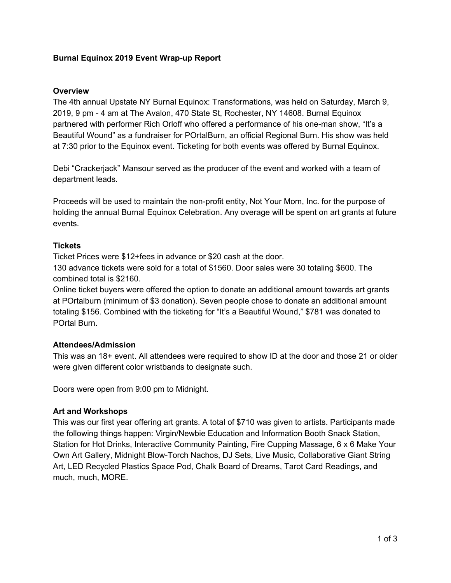## **Burnal Equinox 2019 Event Wrap-up Report**

#### **Overview**

The 4th annual Upstate NY Burnal Equinox: Transformations, was held on Saturday, March 9, 2019, 9 pm - 4 am at The Avalon, 470 State St, Rochester, NY 14608. Burnal Equinox partnered with performer Rich Orloff who offered a performance of his one-man show, "It's a Beautiful Wound" as a fundraiser for POrtalBurn, an official Regional Burn. His show was held at 7:30 prior to the Equinox event. Ticketing for both events was offered by Burnal Equinox.

Debi "Crackerjack" Mansour served as the producer of the event and worked with a team of department leads.

Proceeds will be used to maintain the non-profit entity, Not Your Mom, Inc. for the purpose of holding the annual Burnal Equinox Celebration. Any overage will be spent on art grants at future events.

## **Tickets**

Ticket Prices were \$12+fees in advance or \$20 cash at the door.

130 advance tickets were sold for a total of \$1560. Door sales were 30 totaling \$600. The combined total is \$2160.

Online ticket buyers were offered the option to donate an additional amount towards art grants at POrtalburn (minimum of \$3 donation). Seven people chose to donate an additional amount totaling \$156. Combined with the ticketing for "It's a Beautiful Wound," \$781 was donated to POrtal Burn.

## **Attendees/Admission**

This was an 18+ event. All attendees were required to show ID at the door and those 21 or older were given different color wristbands to designate such.

Doors were open from 9:00 pm to Midnight.

## **Art and Workshops**

This was our first year offering art grants. A total of \$710 was given to artists. Participants made the following things happen: Virgin/Newbie Education and Information Booth Snack Station, Station for Hot Drinks, Interactive Community Painting, Fire Cupping Massage, 6 x 6 Make Your Own Art Gallery, Midnight Blow-Torch Nachos, DJ Sets, Live Music, Collaborative Giant String Art, LED Recycled Plastics Space Pod, Chalk Board of Dreams, Tarot Card Readings, and much, much, MORE.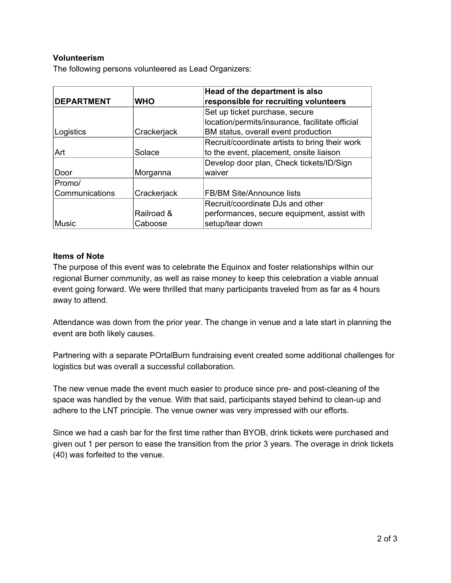# **Volunteerism**

The following persons volunteered as Lead Organizers:

| <b>DEPARTMENT</b> | <b>WHO</b>  | Head of the department is also<br>responsible for recruiting volunteers |  |
|-------------------|-------------|-------------------------------------------------------------------------|--|
|                   |             | Set up ticket purchase, secure                                          |  |
|                   |             | location/permits/insurance, facilitate official                         |  |
| Logistics         | Crackerjack | BM status, overall event production                                     |  |
|                   |             | Recruit/coordinate artists to bring their work                          |  |
| Art               | Solace      | to the event, placement, onsite liaison                                 |  |
|                   |             | Develop door plan, Check tickets/ID/Sign                                |  |
| Door              | Morganna    | waiver                                                                  |  |
| Promo/            |             |                                                                         |  |
| Communications    | Crackerjack | FB/BM Site/Announce lists                                               |  |
|                   |             | Recruit/coordinate DJs and other                                        |  |
|                   | Railroad &  | performances, secure equipment, assist with                             |  |
| Music             | Caboose     | setup/tear down                                                         |  |

#### **Items of Note**

The purpose of this event was to celebrate the Equinox and foster relationships within our regional Burner community, as well as raise money to keep this celebration a viable annual event going forward. We were thrilled that many participants traveled from as far as 4 hours away to attend.

Attendance was down from the prior year. The change in venue and a late start in planning the event are both likely causes.

Partnering with a separate POrtalBurn fundraising event created some additional challenges for logistics but was overall a successful collaboration.

The new venue made the event much easier to produce since pre- and post-cleaning of the space was handled by the venue. With that said, participants stayed behind to clean-up and adhere to the LNT principle. The venue owner was very impressed with our efforts.

Since we had a cash bar for the first time rather than BYOB, drink tickets were purchased and given out 1 per person to ease the transition from the prior 3 years. The overage in drink tickets (40) was forfeited to the venue.